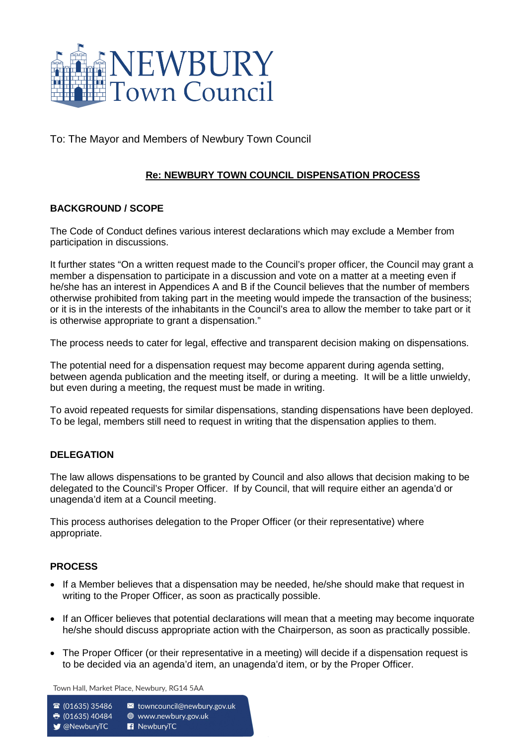

To: The Mayor and Members of Newbury Town Council

# **Re: NEWBURY TOWN COUNCIL DISPENSATION PROCESS**

## **BACKGROUND / SCOPE**

The Code of Conduct defines various interest declarations which may exclude a Member from participation in discussions.

It further states "On a written request made to the Council's proper officer, the Council may grant a member a dispensation to participate in a discussion and vote on a matter at a meeting even if he/she has an interest in Appendices A and B if the Council believes that the number of members otherwise prohibited from taking part in the meeting would impede the transaction of the business; or it is in the interests of the inhabitants in the Council's area to allow the member to take part or it is otherwise appropriate to grant a dispensation."

The process needs to cater for legal, effective and transparent decision making on dispensations.

The potential need for a dispensation request may become apparent during agenda setting, between agenda publication and the meeting itself, or during a meeting. It will be a little unwieldy, but even during a meeting, the request must be made in writing.

To avoid repeated requests for similar dispensations, standing dispensations have been deployed. To be legal, members still need to request in writing that the dispensation applies to them.

## **DELEGATION**

The law allows dispensations to be granted by Council and also allows that decision making to be delegated to the Council's Proper Officer. If by Council, that will require either an agenda'd or unagenda'd item at a Council meeting.

This process authorises delegation to the Proper Officer (or their representative) where appropriate.

## **PROCESS**

- If a Member believes that a dispensation may be needed, he/she should make that request in writing to the Proper Officer, as soon as practically possible.
- If an Officer believes that potential declarations will mean that a meeting may become inquorate he/she should discuss appropriate action with the Chairperson, as soon as practically possible.
- The Proper Officer (or their representative in a meeting) will decide if a dispensation request is to be decided via an agenda'd item, an unagenda'd item, or by the Proper Officer.

Town Hall, Market Place, Newbury, RG14 5AA

v towncouncil@newbury.gov.uk ☎ (01635) 35486

● (01635) 40484 **<sup>●</sup>** www.newbury.gov.uk

**V** @NewburyTC

R NewburyTC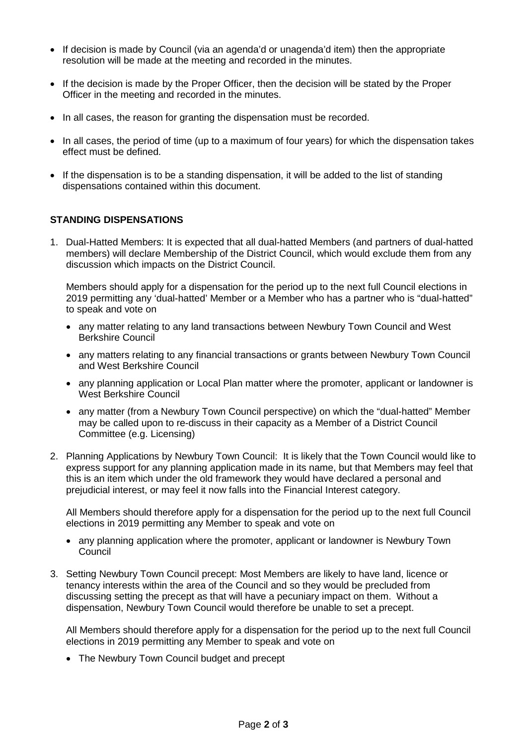- If decision is made by Council (via an agenda'd or unagenda'd item) then the appropriate resolution will be made at the meeting and recorded in the minutes.
- If the decision is made by the Proper Officer, then the decision will be stated by the Proper Officer in the meeting and recorded in the minutes.
- In all cases, the reason for granting the dispensation must be recorded.
- In all cases, the period of time (up to a maximum of four years) for which the dispensation takes effect must be defined.
- If the dispensation is to be a standing dispensation, it will be added to the list of standing dispensations contained within this document.

### **STANDING DISPENSATIONS**

1. Dual-Hatted Members: It is expected that all dual-hatted Members (and partners of dual-hatted members) will declare Membership of the District Council, which would exclude them from any discussion which impacts on the District Council.

Members should apply for a dispensation for the period up to the next full Council elections in 2019 permitting any 'dual-hatted' Member or a Member who has a partner who is "dual-hatted" to speak and vote on

- any matter relating to any land transactions between Newbury Town Council and West Berkshire Council
- any matters relating to any financial transactions or grants between Newbury Town Council and West Berkshire Council
- any planning application or Local Plan matter where the promoter, applicant or landowner is West Berkshire Council
- any matter (from a Newbury Town Council perspective) on which the "dual-hatted" Member may be called upon to re-discuss in their capacity as a Member of a District Council Committee (e.g. Licensing)
- 2. Planning Applications by Newbury Town Council: It is likely that the Town Council would like to express support for any planning application made in its name, but that Members may feel that this is an item which under the old framework they would have declared a personal and prejudicial interest, or may feel it now falls into the Financial Interest category.

All Members should therefore apply for a dispensation for the period up to the next full Council elections in 2019 permitting any Member to speak and vote on

- any planning application where the promoter, applicant or landowner is Newbury Town Council
- 3. Setting Newbury Town Council precept: Most Members are likely to have land, licence or tenancy interests within the area of the Council and so they would be precluded from discussing setting the precept as that will have a pecuniary impact on them. Without a dispensation, Newbury Town Council would therefore be unable to set a precept.

All Members should therefore apply for a dispensation for the period up to the next full Council elections in 2019 permitting any Member to speak and vote on

• The Newbury Town Council budget and precept